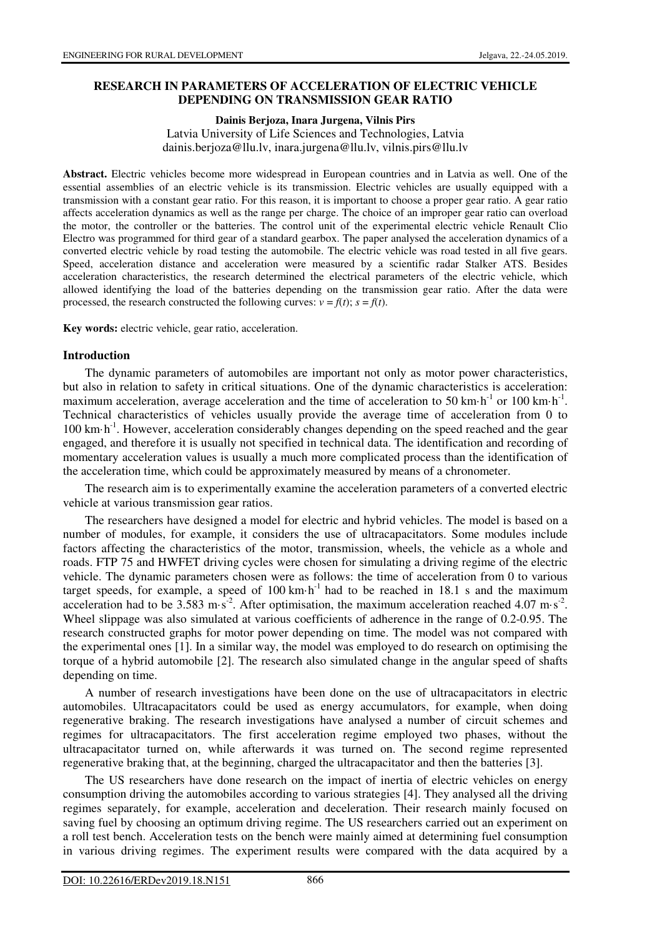### **RESEARCH IN PARAMETERS OF ACCELERATION OF ELECTRIC VEHICLE DEPENDING ON TRANSMISSION GEAR RATIO**

**Dainis Berjoza, Inara Jurgena, Vilnis Pirs** 

Latvia University of Life Sciences and Technologies, Latvia dainis.berjoza@llu.lv, inara.jurgena@llu.lv, vilnis.pirs@llu.lv

**Abstract.** Electric vehicles become more widespread in European countries and in Latvia as well. One of the essential assemblies of an electric vehicle is its transmission. Electric vehicles are usually equipped with a transmission with a constant gear ratio. For this reason, it is important to choose a proper gear ratio. A gear ratio affects acceleration dynamics as well as the range per charge. The choice of an improper gear ratio can overload the motor, the controller or the batteries. The control unit of the experimental electric vehicle Renault Clio Electro was programmed for third gear of a standard gearbox. The paper analysed the acceleration dynamics of a converted electric vehicle by road testing the automobile. The electric vehicle was road tested in all five gears. Speed, acceleration distance and acceleration were measured by a scientific radar Stalker ATS. Besides acceleration characteristics, the research determined the electrical parameters of the electric vehicle, which allowed identifying the load of the batteries depending on the transmission gear ratio. After the data were processed, the research constructed the following curves:  $v = f(t)$ ;  $s = f(t)$ .

**Key words:** electric vehicle, gear ratio, acceleration.

### **Introduction**

The dynamic parameters of automobiles are important not only as motor power characteristics, but also in relation to safety in critical situations. One of the dynamic characteristics is acceleration: maximum acceleration, average acceleration and the time of acceleration to 50 km·h<sup>-1</sup> or 100 km·h<sup>-1</sup>. Technical characteristics of vehicles usually provide the average time of acceleration from 0 to 100 km·h<sup>-1</sup>. However, acceleration considerably changes depending on the speed reached and the gear engaged, and therefore it is usually not specified in technical data. The identification and recording of momentary acceleration values is usually a much more complicated process than the identification of the acceleration time, which could be approximately measured by means of a chronometer.

The research aim is to experimentally examine the acceleration parameters of a converted electric vehicle at various transmission gear ratios.

The researchers have designed a model for electric and hybrid vehicles. The model is based on a number of modules, for example, it considers the use of ultracapacitators. Some modules include factors affecting the characteristics of the motor, transmission, wheels, the vehicle as a whole and roads. FTP 75 and HWFET driving cycles were chosen for simulating a driving regime of the electric vehicle. The dynamic parameters chosen were as follows: the time of acceleration from 0 to various target speeds, for example, a speed of  $100 \text{ km} \cdot \text{h}^{-1}$  had to be reached in 18.1 s and the maximum acceleration had to be  $3.583 \text{ m} \cdot \text{s}^{-2}$ . After optimisation, the maximum acceleration reached 4.07 m $\cdot \text{s}^{-2}$ . Wheel slippage was also simulated at various coefficients of adherence in the range of 0.2-0.95. The research constructed graphs for motor power depending on time. The model was not compared with the experimental ones [1]. In a similar way, the model was employed to do research on optimising the torque of a hybrid automobile [2]. The research also simulated change in the angular speed of shafts depending on time.

A number of research investigations have been done on the use of ultracapacitators in electric automobiles. Ultracapacitators could be used as energy accumulators, for example, when doing regenerative braking. The research investigations have analysed a number of circuit schemes and regimes for ultracapacitators. The first acceleration regime employed two phases, without the ultracapacitator turned on, while afterwards it was turned on. The second regime represented regenerative braking that, at the beginning, charged the ultracapacitator and then the batteries [3].

The US researchers have done research on the impact of inertia of electric vehicles on energy consumption driving the automobiles according to various strategies [4]. They analysed all the driving regimes separately, for example, acceleration and deceleration. Their research mainly focused on saving fuel by choosing an optimum driving regime. The US researchers carried out an experiment on a roll test bench. Acceleration tests on the bench were mainly aimed at determining fuel consumption in various driving regimes. The experiment results were compared with the data acquired by a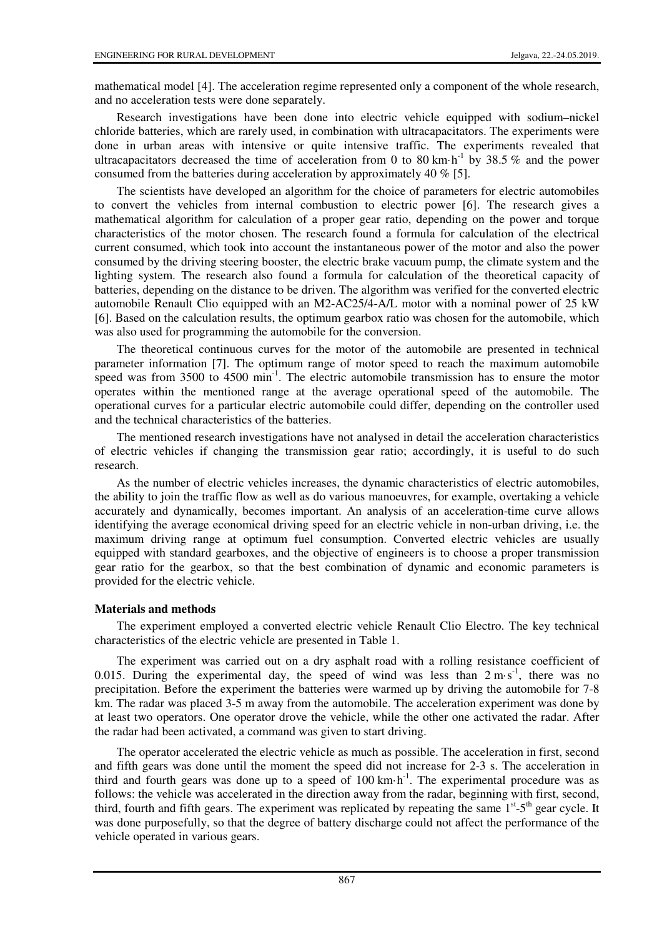mathematical model [4]. The acceleration regime represented only a component of the whole research, and no acceleration tests were done separately.

Research investigations have been done into electric vehicle equipped with sodium–nickel chloride batteries, which are rarely used, in combination with ultracapacitators. The experiments were done in urban areas with intensive or quite intensive traffic. The experiments revealed that ultracapacitators decreased the time of acceleration from 0 to 80 km·h<sup>-1</sup> by 38.5 % and the power consumed from the batteries during acceleration by approximately 40 % [5].

The scientists have developed an algorithm for the choice of parameters for electric automobiles to convert the vehicles from internal combustion to electric power [6]. The research gives a mathematical algorithm for calculation of a proper gear ratio, depending on the power and torque characteristics of the motor chosen. The research found a formula for calculation of the electrical current consumed, which took into account the instantaneous power of the motor and also the power consumed by the driving steering booster, the electric brake vacuum pump, the climate system and the lighting system. The research also found a formula for calculation of the theoretical capacity of batteries, depending on the distance to be driven. The algorithm was verified for the converted electric automobile Renault Clio equipped with an M2-AC25/4-A/L motor with a nominal power of 25 kW [6]. Based on the calculation results, the optimum gearbox ratio was chosen for the automobile, which was also used for programming the automobile for the conversion.

The theoretical continuous curves for the motor of the automobile are presented in technical parameter information [7]. The optimum range of motor speed to reach the maximum automobile speed was from 3500 to 4500  $\text{min}^{-1}$ . The electric automobile transmission has to ensure the motor operates within the mentioned range at the average operational speed of the automobile. The operational curves for a particular electric automobile could differ, depending on the controller used and the technical characteristics of the batteries.

The mentioned research investigations have not analysed in detail the acceleration characteristics of electric vehicles if changing the transmission gear ratio; accordingly, it is useful to do such research.

As the number of electric vehicles increases, the dynamic characteristics of electric automobiles, the ability to join the traffic flow as well as do various manoeuvres, for example, overtaking a vehicle accurately and dynamically, becomes important. An analysis of an acceleration-time curve allows identifying the average economical driving speed for an electric vehicle in non-urban driving, i.e. the maximum driving range at optimum fuel consumption. Converted electric vehicles are usually equipped with standard gearboxes, and the objective of engineers is to choose a proper transmission gear ratio for the gearbox, so that the best combination of dynamic and economic parameters is provided for the electric vehicle.

# **Materials and methods**

The experiment employed a converted electric vehicle Renault Clio Electro. The key technical characteristics of the electric vehicle are presented in Table 1.

The experiment was carried out on a dry asphalt road with a rolling resistance coefficient of 0.015. During the experimental day, the speed of wind was less than  $2 \text{ m} \cdot \text{s}^{-1}$ , there was no precipitation. Before the experiment the batteries were warmed up by driving the automobile for 7-8 km. The radar was placed 3-5 m away from the automobile. The acceleration experiment was done by at least two operators. One operator drove the vehicle, while the other one activated the radar. After the radar had been activated, a command was given to start driving.

The operator accelerated the electric vehicle as much as possible. The acceleration in first, second and fifth gears was done until the moment the speed did not increase for 2-3 s. The acceleration in third and fourth gears was done up to a speed of  $100 \text{ km} \cdot \text{h}^{-1}$ . The experimental procedure was as follows: the vehicle was accelerated in the direction away from the radar, beginning with first, second, third, fourth and fifth gears. The experiment was replicated by repeating the same  $1<sup>st</sup>$ -5<sup>th</sup> gear cycle. It was done purposefully, so that the degree of battery discharge could not affect the performance of the vehicle operated in various gears.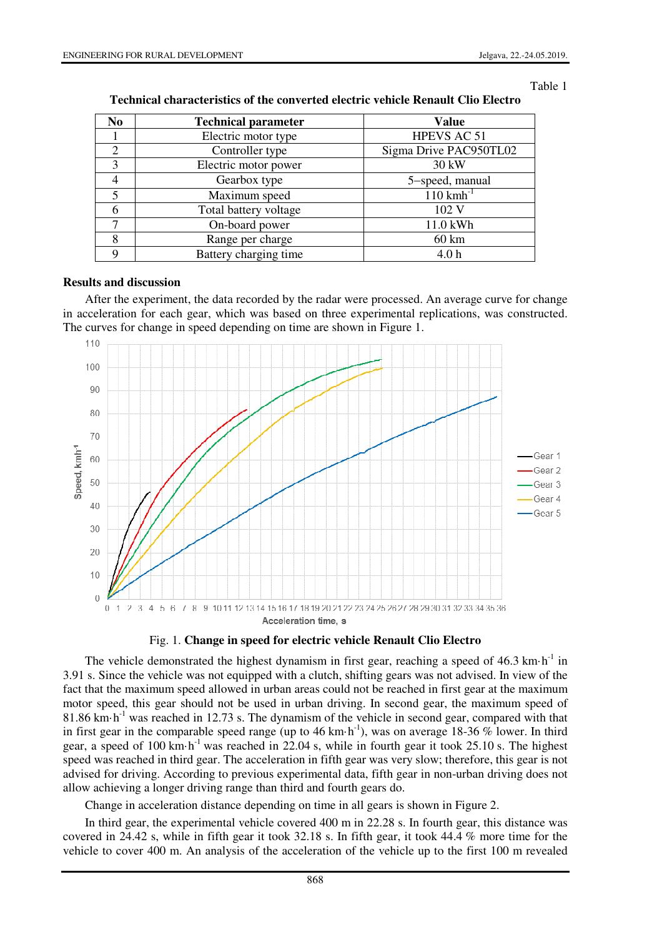#### Table 1

| N <sub>0</sub> | <b>Technical parameter</b> | <b>Value</b>            |
|----------------|----------------------------|-------------------------|
|                | Electric motor type        | HPEVS AC 51             |
| 2              | Controller type            | Sigma Drive PAC950TL02  |
| 3              | Electric motor power       | 30 kW                   |
|                | Gearbox type               | 5-speed, manual         |
| 5              | Maximum speed              | $110$ kmh <sup>-1</sup> |
| 6              | Total battery voltage      | 102 V                   |
|                | On-board power             | 11.0 kWh                |
| 8              | Range per charge           | $60 \text{ km}$         |
| 9              | Battery charging time      | 4.0 <sub>h</sub>        |

| <b>Technical characteristics of the converted electric vehicle Renault Clio Electro</b> |  |
|-----------------------------------------------------------------------------------------|--|
|-----------------------------------------------------------------------------------------|--|

### **Results and discussion**

After the experiment, the data recorded by the radar were processed. An average curve for change in acceleration for each gear, which was based on three experimental replications, was constructed. The curves for change in speed depending on time are shown in Figure 1.





The vehicle demonstrated the highest dynamism in first gear, reaching a speed of  $46.3 \text{ km} \cdot \text{h}^{-1}$  in 3.91 s. Since the vehicle was not equipped with a clutch, shifting gears was not advised. In view of the fact that the maximum speed allowed in urban areas could not be reached in first gear at the maximum motor speed, this gear should not be used in urban driving. In second gear, the maximum speed of  $81.86$  km·h<sup>-1</sup> was reached in 12.73 s. The dynamism of the vehicle in second gear, compared with that in first gear in the comparable speed range (up to 46 km·h<sup>-1</sup>), was on average 18-36 % lower. In third gear, a speed of 100 km·h-1 was reached in 22.04 s, while in fourth gear it took 25.10 s. The highest speed was reached in third gear. The acceleration in fifth gear was very slow; therefore, this gear is not advised for driving. According to previous experimental data, fifth gear in non-urban driving does not allow achieving a longer driving range than third and fourth gears do.

Change in acceleration distance depending on time in all gears is shown in Figure 2.

In third gear, the experimental vehicle covered 400 m in 22.28 s. In fourth gear, this distance was covered in 24.42 s, while in fifth gear it took 32.18 s. In fifth gear, it took 44.4 % more time for the vehicle to cover 400 m. An analysis of the acceleration of the vehicle up to the first 100 m revealed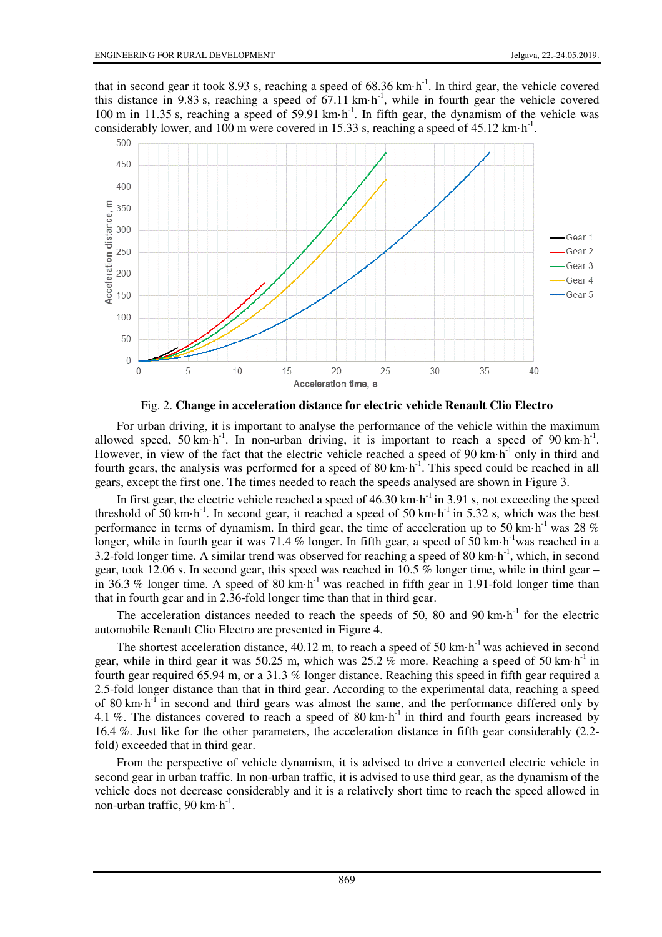that in second gear it took 8.93 s, reaching a speed of  $68.36 \text{ km} \cdot \text{h}^{-1}$ . In third gear, the vehicle covered this distance in 9.83 s, reaching a speed of 67.11 km·h-1, while in fourth gear the vehicle covered 100 m in 11.35 s, reaching a speed of 59.91 km·h<sup>-1</sup>. In fifth gear, the dynamism of the vehicle was considerably lower, and 100 m were covered in 15.33 s, reaching a speed of 45.12 km·h<sup>-1</sup>.



Fig. 2. **Change in acceleration distance for electric vehicle Renault Clio Electro**

For urban driving, it is important to analyse the performance of the vehicle within the maximum allowed speed, 50 km·h<sup>-1</sup>. In non-urban driving, it is important to reach a speed of 90 km·h<sup>-1</sup>. However, in view of the fact that the electric vehicle reached a speed of 90 km $\cdot$ h<sup>-1</sup> only in third and fourth gears, the analysis was performed for a speed of 80 km·h<sup>-1</sup>. This speed could be reached in all gears, except the first one. The times needed to reach the speeds analysed are shown in Figure 3.

In first gear, the electric vehicle reached a speed of  $46.30 \text{ km} \cdot \text{h}^{-1}$  in 3.91 s, not exceeding the speed threshold of 50 km·h<sup>-1</sup>. In second gear, it reached a speed of 50 km·h<sup>-1</sup> in 5.32 s, which was the best performance in terms of dynamism. In third gear, the time of acceleration up to 50 km·h<sup>-1</sup> was 28  $%$ longer, while in fourth gear it was 71.4 % longer. In fifth gear, a speed of 50 km·h<sup>-1</sup>was reached in a 3.2-fold longer time. A similar trend was observed for reaching a speed of 80 km·h-1, which, in second gear, took 12.06 s. In second gear, this speed was reached in 10.5  $\%$  longer time, while in third gear – in 36.3 % longer time. A speed of 80 km·h<sup>-1</sup> was reached in fifth gear in 1.91-fold longer time than that in fourth gear and in 2.36-fold longer time than that in third gear.

The acceleration distances needed to reach the speeds of 50, 80 and 90 km $\cdot$ h<sup>-1</sup> for the electric automobile Renault Clio Electro are presented in Figure 4.

The shortest acceleration distance,  $40.12$  m, to reach a speed of 50 km $\cdot$ h<sup>-1</sup> was achieved in second gear, while in third gear it was 50.25 m, which was  $25.2\%$  more. Reaching a speed of 50 km·h<sup>-1</sup> in fourth gear required 65.94 m, or a 31.3 % longer distance. Reaching this speed in fifth gear required a 2.5-fold longer distance than that in third gear. According to the experimental data, reaching a speed of 80  $km\cdot h^{-1}$  in second and third gears was almost the same, and the performance differed only by 4.1 %. The distances covered to reach a speed of 80 km·h<sup>-1</sup> in third and fourth gears increased by 16.4 %. Just like for the other parameters, the acceleration distance in fifth gear considerably (2.2 fold) exceeded that in third gear.

From the perspective of vehicle dynamism, it is advised to drive a converted electric vehicle in second gear in urban traffic. In non-urban traffic, it is advised to use third gear, as the dynamism of the vehicle does not decrease considerably and it is a relatively short time to reach the speed allowed in non-urban traffic,  $90 \text{ km} \cdot \text{h}^{-1}$ .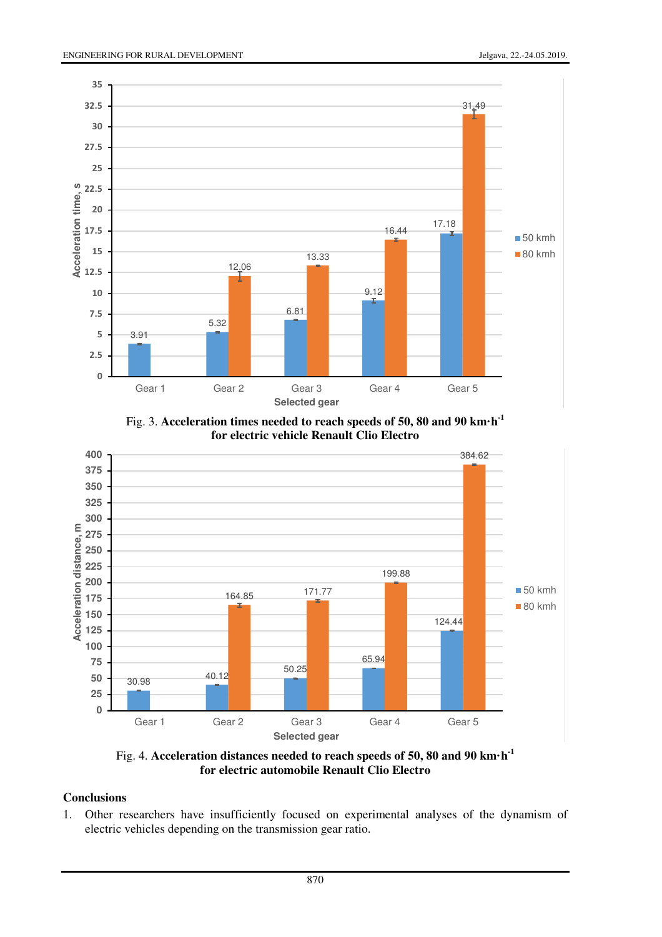

Fig. 3. **Acceleration times needed to reach speeds of 50, 80 and 90 km·h-1 for electric vehicle Renault Clio Electro**



Fig. 4. **Acceleration distances needed to reach speeds of 50, 80 and 90 km·h-1 for electric automobile Renault Clio Electro**

# **Conclusions**

1. Other researchers have insufficiently focused on experimental analyses of the dynamism of electric vehicles depending on the transmission gear ratio.